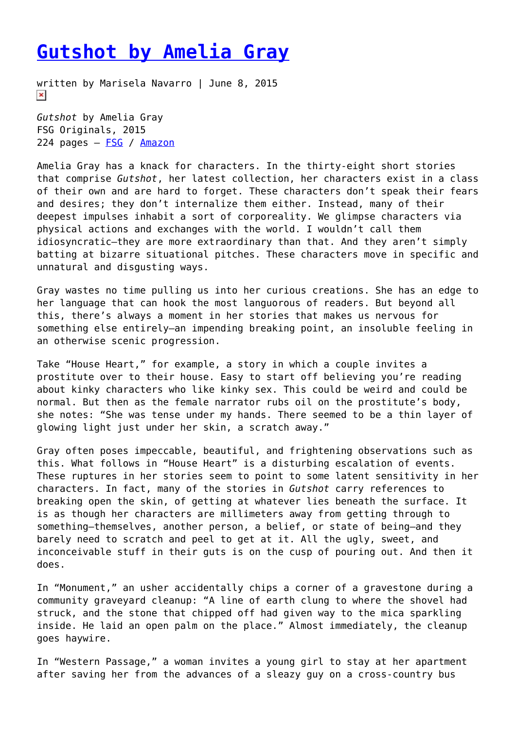## **[Gutshot by Amelia Gray](https://entropymag.org/gutshot-by-amelia-gray/)**

written by Marisela Navarro | June 8, 2015  $\pmb{\times}$ 

*Gutshot* by Amelia Gray FSG Originals, 2015 224 pages — [FSG](http://www.fsgoriginals.com/books/detail/gutshot) / [Amazon](http://www.amazon.com/Gutshot-Stories-Amelia-Gray/dp/0374175446/ref=sr_1_1?ie=UTF8&qid=1432898947&sr=8-1&keywords=gutshot)

Amelia Gray has a knack for characters. In the thirty-eight short stories that comprise *Gutshot*, her latest collection, her characters exist in a class of their own and are hard to forget. These characters don't speak their fears and desires; they don't internalize them either. Instead, many of their deepest impulses inhabit a sort of corporeality. We glimpse characters via physical actions and exchanges with the world. I wouldn't call them idiosyncratic—they are more extraordinary than that. And they aren't simply batting at bizarre situational pitches. These characters move in specific and unnatural and disgusting ways.

Gray wastes no time pulling us into her curious creations. She has an edge to her language that can hook the most languorous of readers. But beyond all this, there's always a moment in her stories that makes us nervous for something else entirely—an impending breaking point, an insoluble feeling in an otherwise scenic progression.

Take "House Heart," for example, a story in which a couple invites a prostitute over to their house. Easy to start off believing you're reading about kinky characters who like kinky sex. This could be weird and could be normal. But then as the female narrator rubs oil on the prostitute's body, she notes: "She was tense under my hands. There seemed to be a thin layer of glowing light just under her skin, a scratch away."

Gray often poses impeccable, beautiful, and frightening observations such as this. What follows in "House Heart" is a disturbing escalation of events. These ruptures in her stories seem to point to some latent sensitivity in her characters. In fact, many of the stories in *Gutshot* carry references to breaking open the skin, of getting at whatever lies beneath the surface. It is as though her characters are millimeters away from getting through to something—themselves, another person, a belief, or state of being—and they barely need to scratch and peel to get at it. All the ugly, sweet, and inconceivable stuff in their guts is on the cusp of pouring out. And then it does.

In "Monument," an usher accidentally chips a corner of a gravestone during a community graveyard cleanup: "A line of earth clung to where the shovel had struck, and the stone that chipped off had given way to the mica sparkling inside. He laid an open palm on the place." Almost immediately, the cleanup goes haywire.

In "Western Passage," a woman invites a young girl to stay at her apartment after saving her from the advances of a sleazy guy on a cross-country bus